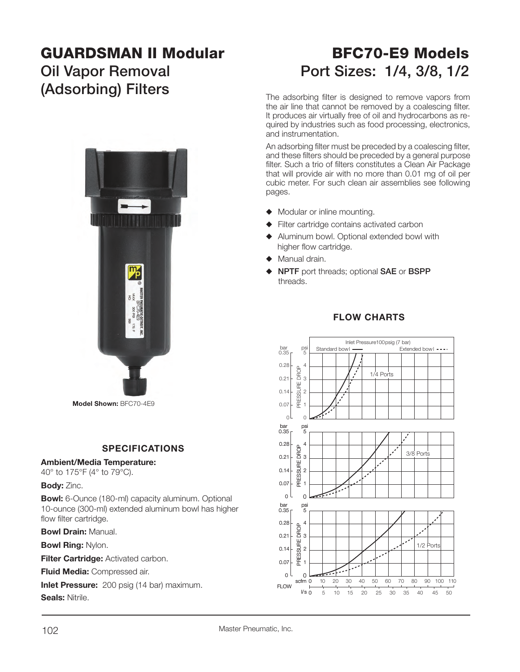# **GUARDSMAN II Modular**

# **(Adsorbing) Filters** The adsorbing filter is designed to remove vapors from



**Model Shown:** BFC70-4E9

#### **SPECIFICATIONS**

#### **Ambient/Media Temperature:**

40° to 175°F (4° to 79°C).

#### **Body:** Zinc.

**Bowl:** 6-Ounce (180-ml) capacity aluminum. Optional 10-ounce (300-ml) extended aluminum bowl has higher flow filter cartridge.

**Bowl Drain:** Manual.

**Bowl Ring:** Nylon.

**Filter Cartridge: Activated carbon.** 

**Fluid Media:** Compressed air.

**Inlet Pressure:** 200 psig (14 bar) maximum.

**Seals:** Nitrile.

## **BFC70-E9 Models**Oil Vapor Removal **Port Sizes: 1/4, 3/8, 1/2**

the air line that cannot be removed by a coalescing filter. It produces air virtually free of oil and hydrocarbons as required by industries such as food processing, electronics, and instrumentation.

An adsorbing filter must be preceded by a coalescing filter, and these filters should be preceded by a general purpose filter. Such a trio of filters constitutes a Clean Air Package that will provide air with no more than 0.01 mg of oil per cubic meter. For such clean air assemblies see following pages.

- $\blacklozenge$  Modular or inline mounting.
- $\blacklozenge$  Filter cartridge contains activated carbon
- $\blacklozenge$  Aluminum bowl. Optional extended bowl with higher flow cartridge.
- $\blacklozenge$  Manual drain.
- S **NPTF** port threads; optional **SAE** or **BSPP** threads.

### **FLOW CHARTS**